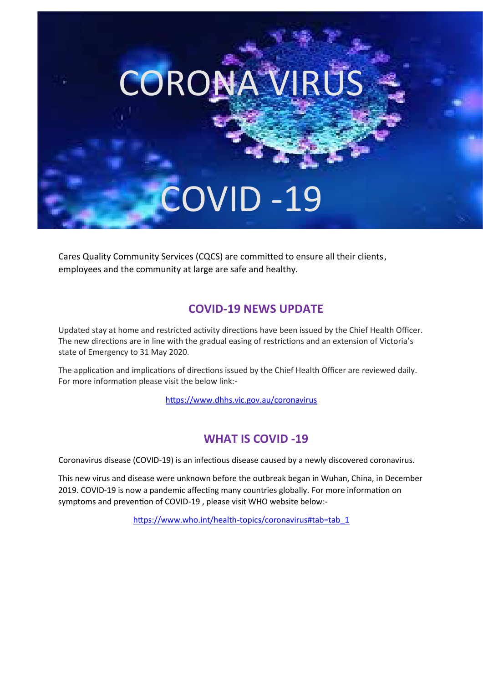# OVID -19

CORONA VIRUS

Cares Quality Community Services (CQCS) are committed to ensure all their clients, employees and the community at large are safe and healthy.

### **COVID-19 NEWS UPDATE**

Updated stay at home and restricted activity directions have been issued by the Chief Health Officer. The new directions are in line with the gradual easing of restrictions and an extension of Victoria's state of Emergency to 31 May 2020.

The application and implications of directions issued by the Chief Health Officer are reviewed daily. For more information please visit the below link:-

htt[ps://www.dhhs.vic.gov.au/coronavirus](about:blank)

# **WHAT IS COVID -19**

Coronavirus disease (COVID-19) is an infectious disease caused by a newly discovered coronavirus.

This new virus and disease were unknown before the outbreak began in Wuhan, China, in December 2019. COVID-19 is now a pandemic affecting many countries globally. For more information on symptoms and prevention of COVID-19, please visit WHO website below:-

htt[ps://www.who.int/health-topics/coronavirus#tab=tab\\_1](about:blank#tab=tab_1)